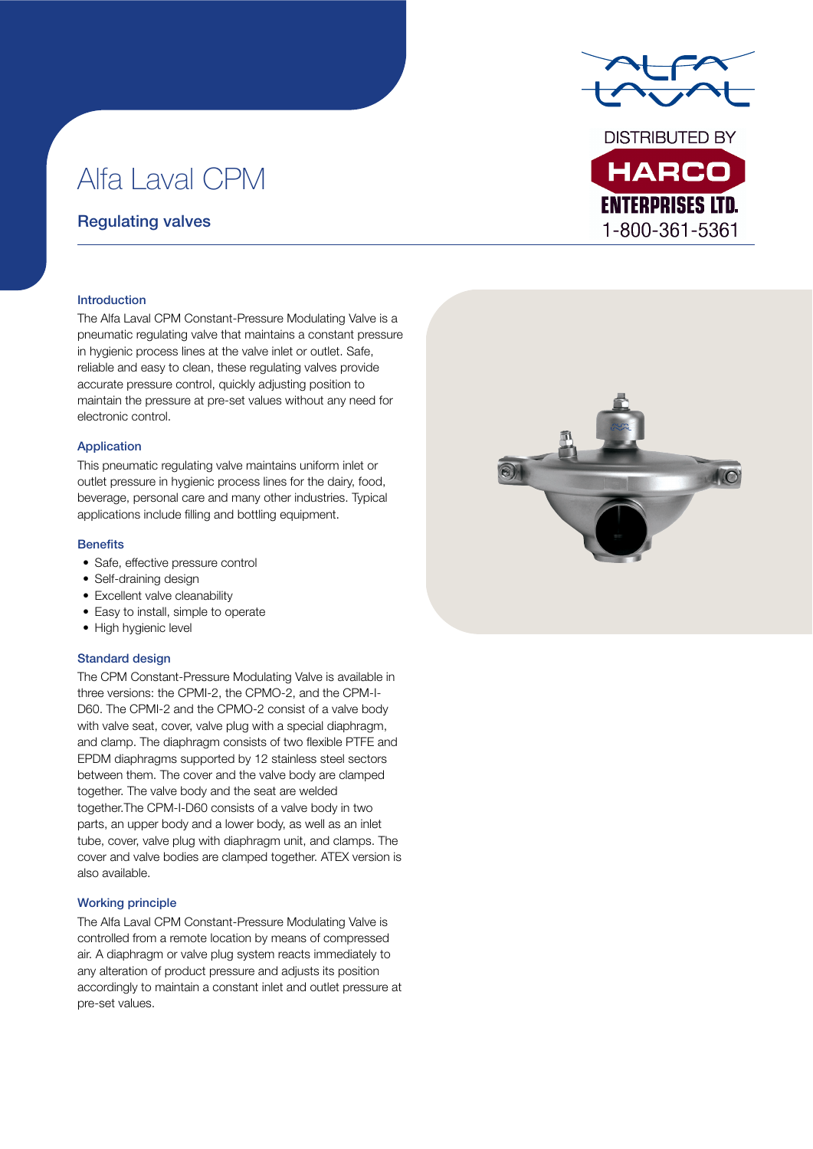**DISTRIBUTED BY** 

**HARCO** 

**ENTERPRISES LTD.** 1-800-361-5361

# Alfa Laval CPM

# Regulating valves

#### Introduction

The Alfa Laval CPM Constant-Pressure Modulating Valve is a pneumatic regulating valve that maintains a constant pressure in hygienic process lines at the valve inlet or outlet. Safe, reliable and easy to clean, these regulating valves provide accurate pressure control, quickly adjusting position to maintain the pressure at pre-set values without any need for electronic control.

#### Application

This pneumatic regulating valve maintains uniform inlet or outlet pressure in hygienic process lines for the dairy, food, beverage, personal care and many other industries. Typical applications include filling and bottling equipment.

#### **Benefits**

- Safe, effective pressure control
- Self-draining design
- Excellent valve cleanability
- Easy to install, simple to operate
- High hygienic level

#### Standard design

The CPM Constant-Pressure Modulating Valve is available in three versions: the CPMI-2, the CPMO-2, and the CPM-I-D60. The CPMI-2 and the CPMO-2 consist of a valve body with valve seat, cover, valve plug with a special diaphragm, and clamp. The diaphragm consists of two flexible PTFE and EPDM diaphragms supported by 12 stainless steel sectors between them. The cover and the valve body are clamped together. The valve body and the seat are welded together.The CPM-I-D60 consists of a valve body in two parts, an upper body and a lower body, as well as an inlet tube, cover, valve plug with diaphragm unit, and clamps. The cover and valve bodies are clamped together. ATEX version is also available.

#### Working principle

The Alfa Laval CPM Constant-Pressure Modulating Valve is controlled from a remote location by means of compressed air. A diaphragm or valve plug system reacts immediately to any alteration of product pressure and adjusts its position accordingly to maintain a constant inlet and outlet pressure at pre-set values.

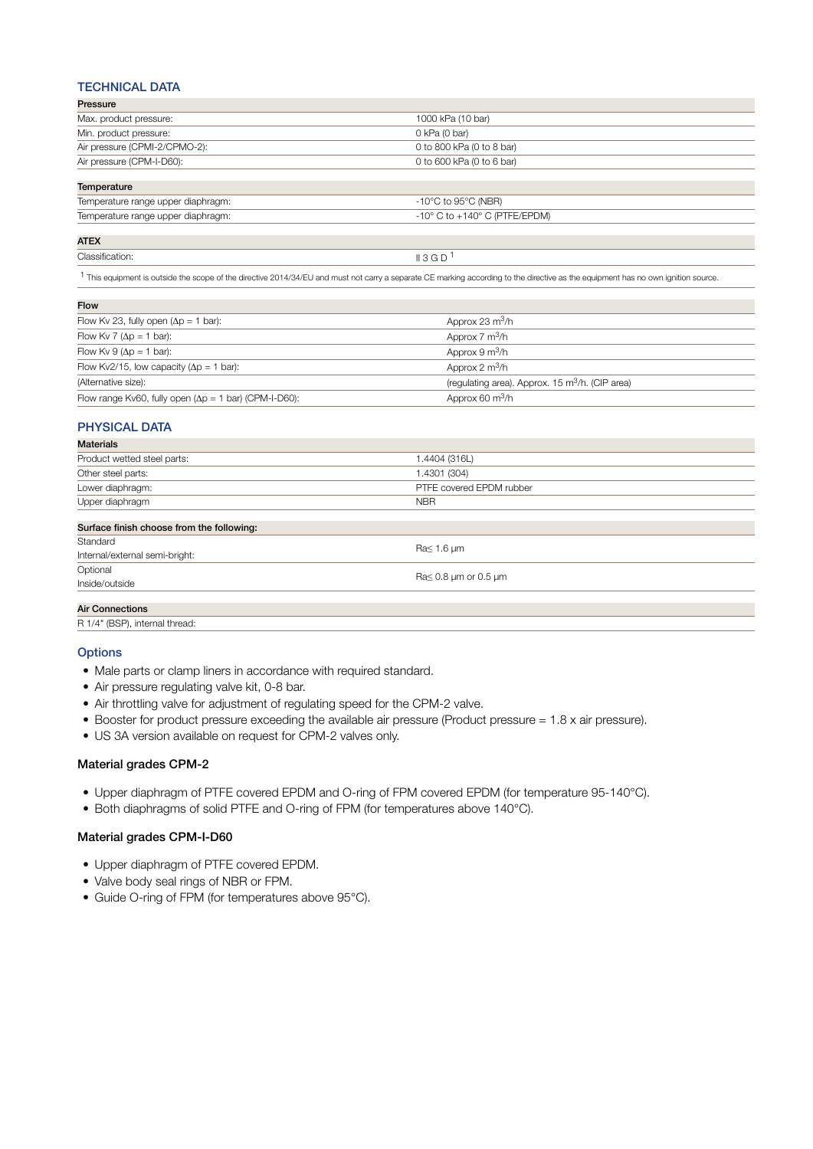### TECHNICAL DATA

| Pressure                      |                           |  |  |
|-------------------------------|---------------------------|--|--|
| Max. product pressure:        | 1000 kPa (10 bar)         |  |  |
| Min. product pressure:        | 0 kPa (0 bar)             |  |  |
| Air pressure (CPMI-2/CPMO-2): | 0 to 800 kPa (0 to 8 bar) |  |  |
| Air pressure (CPM-I-D60):     | 0 to 600 kPa (0 to 6 bar) |  |  |
|                               |                           |  |  |

| Temperature                        |                                                 |  |  |  |  |
|------------------------------------|-------------------------------------------------|--|--|--|--|
| Temperature range upper diaphragm: | -10°C to 95°C (NBR)                             |  |  |  |  |
| Temperature range upper diaphragm: | $-10^{\circ}$ C to $+140^{\circ}$ C (PTFE/EPDM) |  |  |  |  |

### ATEX

Classification:  $\blacksquare$  3 G D  $\blacksquare$ 

1 This equipment is outside the scope of the directive 2014/34/EU and must not carry a separate CE marking according to the directive as the equipment has no own ignition source.

| <b>Flow</b>                                                   |                                                                      |
|---------------------------------------------------------------|----------------------------------------------------------------------|
| Flow Kv 23, fully open $(\Delta p = 1$ bar):                  | Approx 23 $m^3/h$                                                    |
| Flow Kv 7 ( $\Delta p = 1$ bar):                              | Approx $7 \text{ m}^3/h$                                             |
| Flow Kv $9(\Delta p = 1 \text{ bar})$ :                       | Approx $9 \text{ m}^3/h$                                             |
| Flow Kv2/15, low capacity ( $\Delta p = 1$ bar):              | Approx 2 $m^3/h$                                                     |
| (Alternative size):                                           | (requiating area). Approx. 15 $\mathrm{m}^3/\mathrm{h}$ . (CIP area) |
| Flow range Kv60, fully open $(\Delta p = 1$ bar) (CPM-I-D60): | Approx 60 $m^3/h$                                                    |
|                                                               |                                                                      |

## PHYSICAL DATA

| <b>Materials</b>                          |                                                         |  |  |
|-------------------------------------------|---------------------------------------------------------|--|--|
| Product wetted steel parts:               | 1.4404 (316L)                                           |  |  |
| Other steel parts:                        | 1.4301 (304)                                            |  |  |
| Lower diaphragm:                          | PTFE covered EPDM rubber                                |  |  |
| Upper diaphragm                           | <b>NBR</b>                                              |  |  |
| Surface finish choose from the following: |                                                         |  |  |
| Standard                                  | $\text{Ra} \leq 1.6 \,\mu\text{m}$                      |  |  |
| Internal/external semi-bright:            |                                                         |  |  |
| Optional                                  | $\text{Ra} \leq 0.8 \mu \text{m}$ or 0.5 $\mu \text{m}$ |  |  |
| Inside/outside                            |                                                         |  |  |
| <b>Air Connections</b>                    |                                                         |  |  |

R 1/4" (BSP), internal thread:

#### **Options**

- Male parts or clamp liners in accordance with required standard.
- Air pressure regulating valve kit, 0-8 bar.
- Air throttling valve for adjustment of regulating speed for the CPM-2 valve.
- Booster for product pressure exceeding the available air pressure (Product pressure = 1.8 x air pressure).
- US 3A version available on request for CPM-2 valves only.

#### Material grades CPM-2

- Upper diaphragm of PTFE covered EPDM and O-ring of FPM covered EPDM (for temperature 95-140°C).
- Both diaphragms of solid PTFE and O-ring of FPM (for temperatures above 140°C).

#### Material grades CPM-I-D60

- Upper diaphragm of PTFE covered EPDM.
- Valve body seal rings of NBR or FPM.
- Guide O-ring of FPM (for temperatures above 95°C).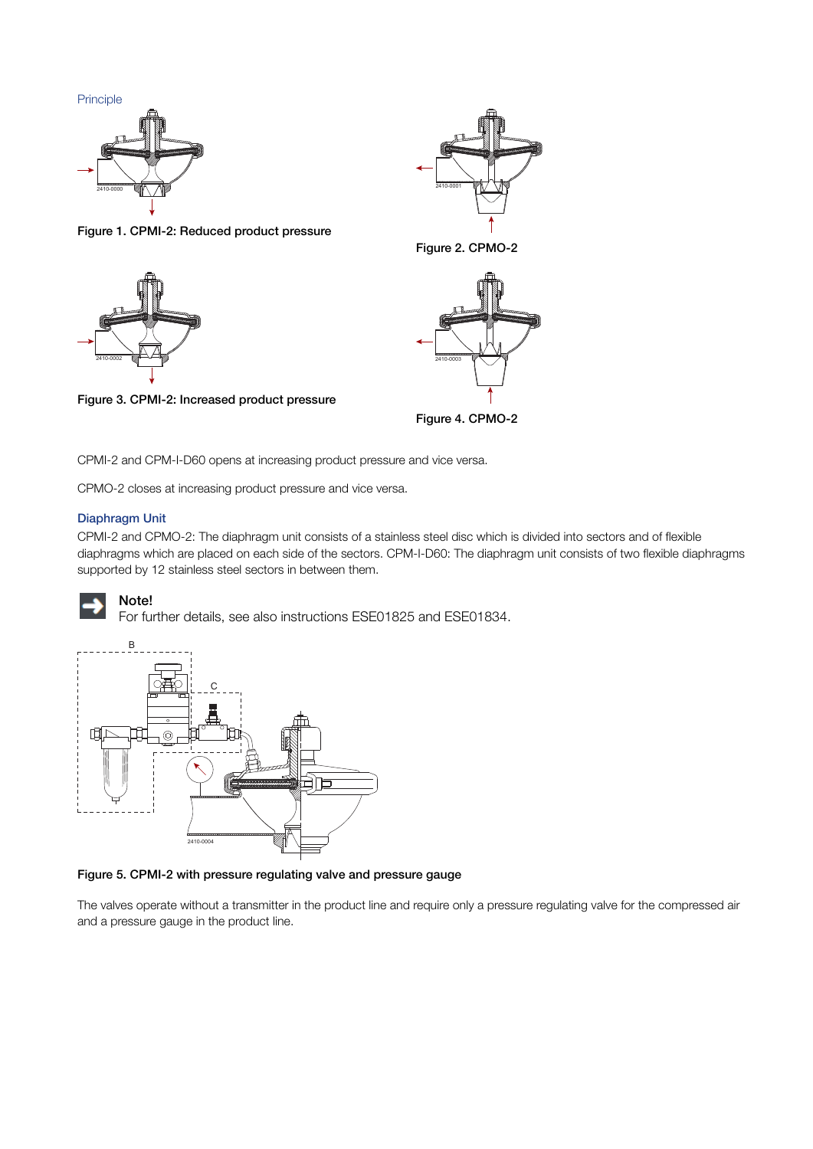



Figure 1. CPMI-2: Reduced product pressure



Figure 3. CPMI-2: Increased product pressure



Figure 2. CPMO-2



Figure 4. CPMO-2

CPMI-2 and CPM-I-D60 opens at increasing product pressure and vice versa.

CPMO-2 closes at increasing product pressure and vice versa.

### Diaphragm Unit

CPMI-2 and CPMO-2: The diaphragm unit consists of a stainless steel disc which is divided into sectors and of flexible diaphragms which are placed on each side of the sectors. CPM-I-D60: The diaphragm unit consists of two flexible diaphragms supported by 12 stainless steel sectors in between them.



# Note!

For further details, see also instructions ESE01825 and ESE01834.



Figure 5. CPMI-2 with pressure regulating valve and pressure gauge

The valves operate without a transmitter in the product line and require only a pressure regulating valve for the compressed air and a pressure gauge in the product line.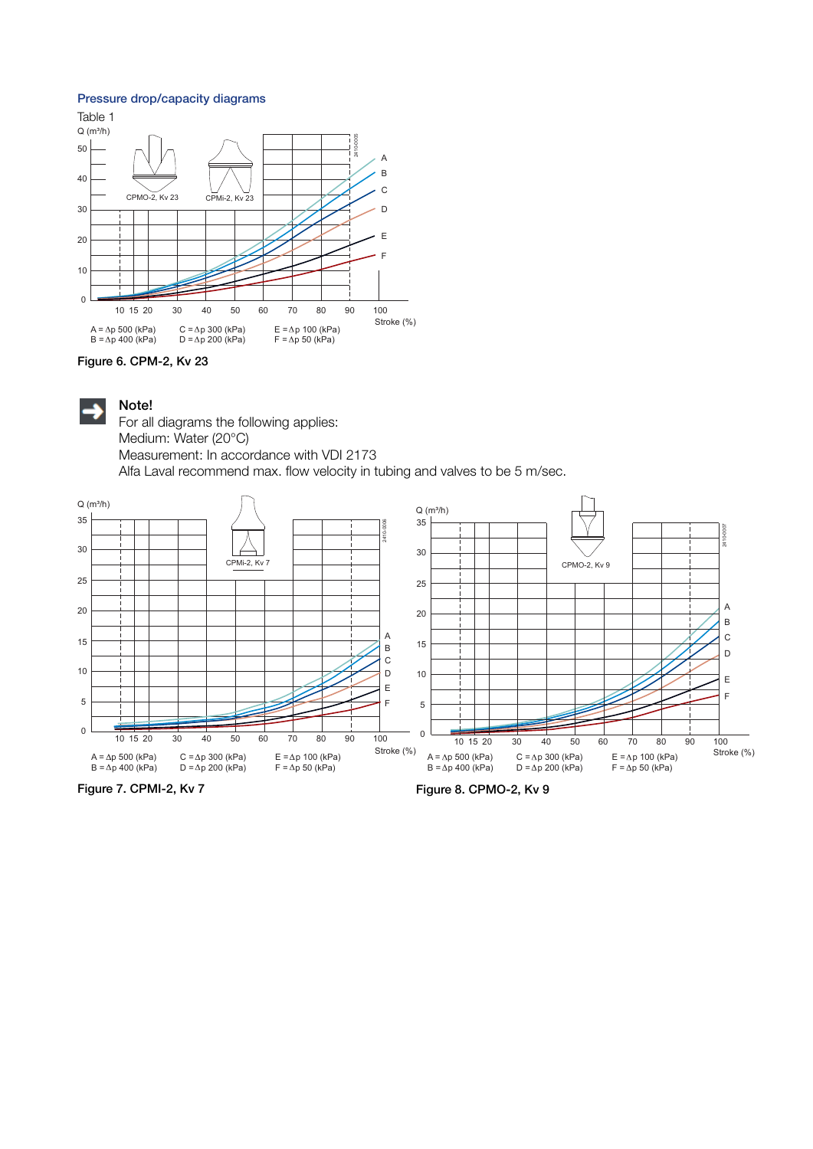#### Pressure drop/capacity diagrams







Note!

For all diagrams the following applies: Medium: Water (20°C) Measurement: In accordance with VDI 2173 Alfa Laval recommend max. flow velocity in tubing and valves to be 5 m/sec.



Figure 7. CPMI-2, Kv 7

Figure 8. CPMO-2, Kv 9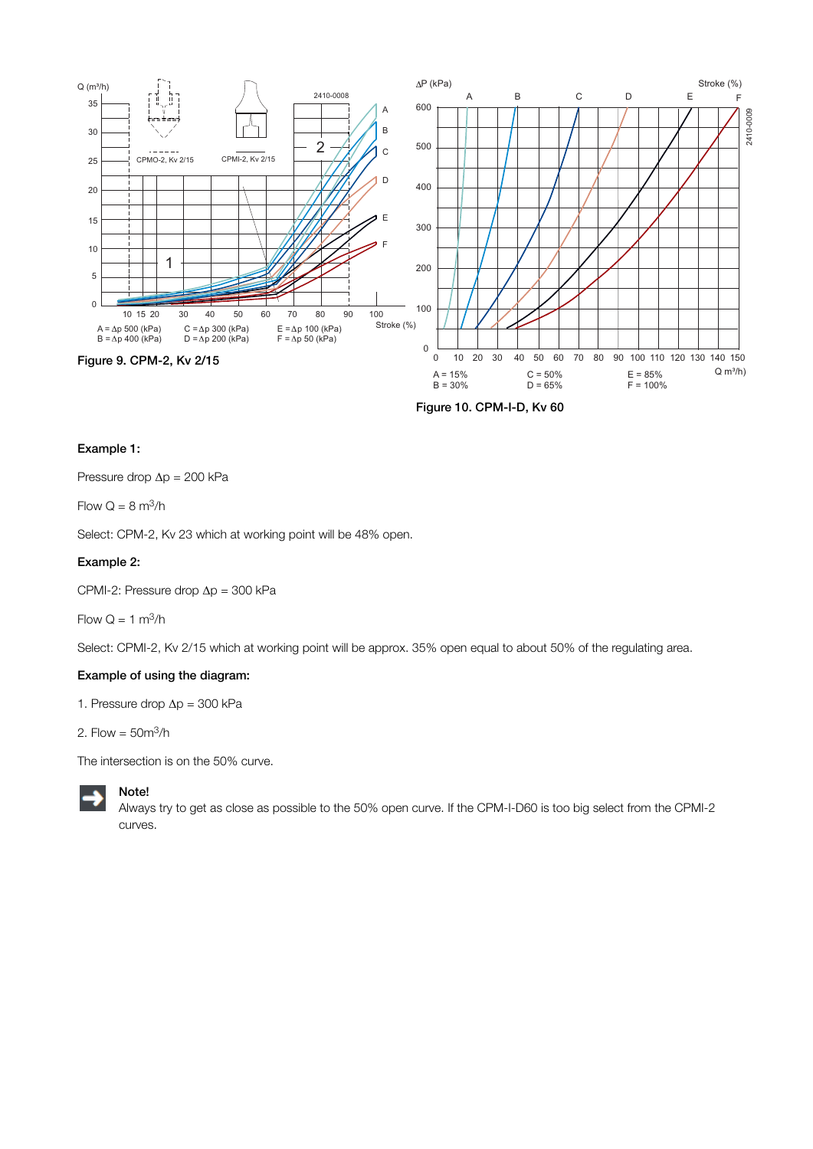

Figure 10. CPM-I-D, Kv 60

#### Example 1:

Pressure drop Δp = 200 kPa

Flow  $Q = 8$  m<sup>3</sup>/h

Select: CPM-2, Kv 23 which at working point will be 48% open.

#### Example 2:

CPMI-2: Pressure drop Δp = 300 kPa

Flow  $Q = 1$  m<sup>3</sup>/h

Select: CPMI-2, Kv 2/15 which at working point will be approx. 35% open equal to about 50% of the regulating area.

#### Example of using the diagram:

1. Pressure drop  $\Delta p = 300$  kPa

2. Flow =  $50<sup>m3</sup>/h$ 

The intersection is on the 50% curve.



Always try to get as close as possible to the 50% open curve. If the CPM-I-D60 is too big select from the CPMI-2 curves.